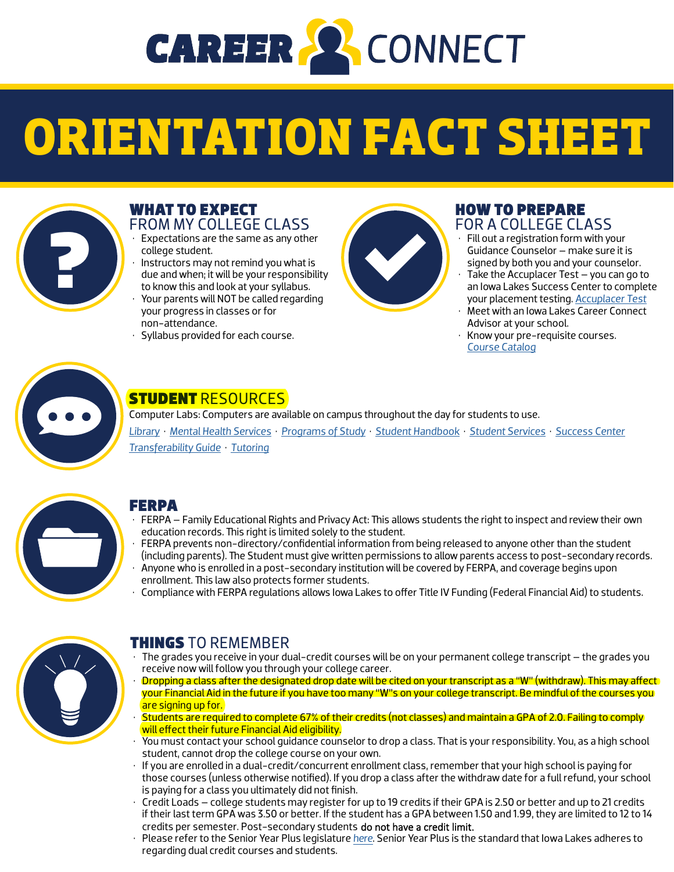

# **ORIENTATION FACT SHEET**



#### WHAT TO EXPECT FROM MY COLLEGE CLASS

- Expectations are the same as any other college student.
- Instructors may not remind you what is due and when; it will be your responsibility to know this and look at your syllabus.
- Your parents will NOT be called regarding your progress in classes or for non-attendance.
- Syllabus provided for each course.



#### HOW TO PREPARE FOR A COLLEGE CLASS

- Fill out a registration form with your Guidance Counselor – make sure it is signed by both you and your counselor.
- Take the Accuplacer Test you can go to an Iowa Lakes Success Center to complete your placement testing. *[Accuplacer Test](https://iowalakes.edu/student-services/advising-success-centers/placement-exams/)*
- Meet with an Iowa Lakes Career Connect Advisor at your school.
- Know your pre-requisite courses. *[Course Catalog](https://iowalakes.edu/academics/college-catalog/)*



## STUDENT RESOURCES

Computer Labs: Computers are available on campus throughout the day for students to use. *[Library](https://iowalakes.edu/student-services/library/)* • *[Mental Health Services](https://iowalakes.edu/student-services/mental-health-services/)* • *[Programs of Study](https://iowalakes.edu/academics/college-catalog/programs-of-study-a-z/)* • *[Student Handbook](https://iowalakes.edu/?r3d=career-connect-student-handbook)* • *[Student Services](https://iowalakes.edu/student-services/)* • *[Success Center](https://iowalakes.edu/student-services/advising-success-centers/) [Transferability Guide](https://iowalakes.edu/academics/transfer-planning/)* • *[Tutoring](https://iowalakes.edu/student-services/advising-success-centers/tutoring-services/)*



#### FERPA

- FERPA Family Educational Rights and Privacy Act: This allows students the right to inspect and review their own education records. This right is limited solely to the student.
- FERPA prevents non-directory/confidential information from being released to anyone other than the student (including parents). The Student must give written permissions to allow parents access to post-secondary records.
- Anyone who is enrolled in a post-secondary institution will be covered by FERPA, and coverage begins upon enrollment. This law also protects former students.
- Compliance with FERPA regulations allows Iowa Lakes to offer Title IV Funding (Federal Financial Aid) to students.



### THINGS TO REMEMBER

- The grades you receive in your dual-credit courses will be on your permanent college transcript the grades you receive now will follow you through your college career.
- Dropping a class after the designated drop date will be cited on your transcript as a "W" (withdraw). This may affect your Financial Aid in the future if you have too many "W"s on your college transcript. Be mindful of the courses you are signing up for.
- Students are required to complete 67% of their credits (not classes) and maintain a GPA of 2.0. Failing to comply will effect their future Financial Aid eligibility.
- You must contact your school guidance counselor to drop a class. That is your responsibility. You, as a high school student, cannot drop the college course on your own.
- If you are enrolled in a dual-credit/concurrent enrollment class, remember that your high school is paying for those courses (unless otherwise notified). If you drop a class after the withdraw date for a full refund, your school is paying for a class you ultimately did not finish.
- Credit Loads college students may register for up to 19 credits if their GPA is 2.50 or better and up to 21 credits if their last term GPA was 3.50 or better. If the student has a GPA between 1.50 and 1.99, they are limited to 12 to 14 credits per semester. Post-secondary students do not have a credit limit.
- Please refer to the Senior Year Plus legislature *[here](https://educateiowa.gov/search/senior year plus)*. Senior Year Plus is the standard that Iowa Lakes adheres to regarding dual credit courses and students.